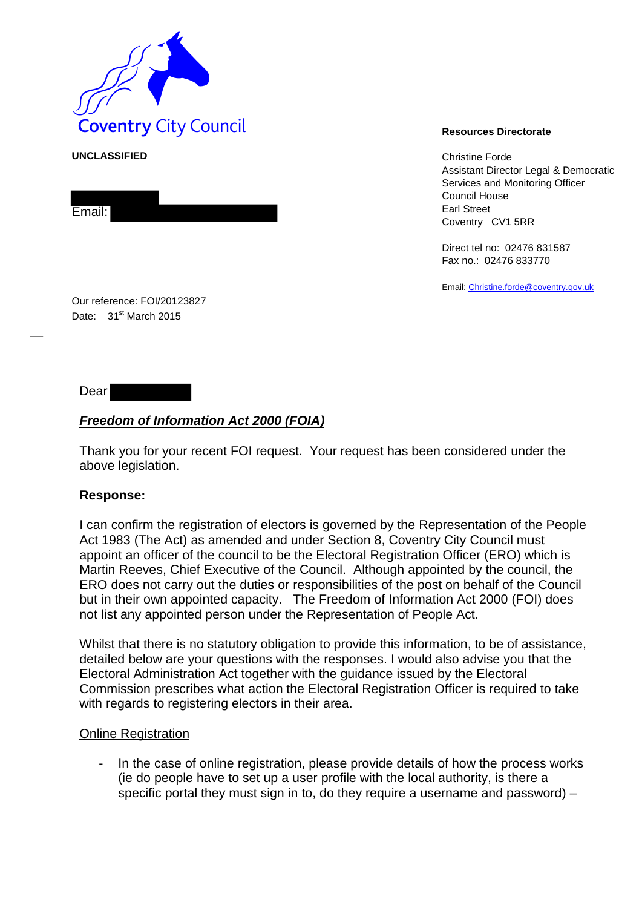

**UNCLASSIFIED** Christian Christian Christian Christian Christian Christian Christian Christian Christian Christian Christian Christian Christian Christian Christian Christian Christian Christian Christian Christian Christi Assistant Director Legal & Democratic Services and Monitoring Officer Council House Earl Street Coventry CV1 5RR

> Direct tel no: 02476 831587 Fax no.: 02476 833770

Email[: Christine.forde@coventry.gov.uk](mailto:Christine.forde@coventry.gov.uk)

Our reference: FOI/20123827 Date: 31<sup>st</sup> March 2015

Dear

Email:

# *Freedom of Information Act 2000 (FOIA)*

Thank you for your recent FOI request. Your request has been considered under the above legislation.

# **Response:**

I can confirm the registration of electors is governed by the Representation of the People Act 1983 (The Act) as amended and under Section 8, Coventry City Council must appoint an officer of the council to be the Electoral Registration Officer (ERO) which is Martin Reeves, Chief Executive of the Council. Although appointed by the council, the ERO does not carry out the duties or responsibilities of the post on behalf of the Council but in their own appointed capacity. The Freedom of Information Act 2000 (FOI) does not list any appointed person under the Representation of People Act.

Whilst that there is no statutory obligation to provide this information, to be of assistance, detailed below are your questions with the responses. I would also advise you that the Electoral Administration Act together with the guidance issued by the Electoral Commission prescribes what action the Electoral Registration Officer is required to take with regards to registering electors in their area.

### **Online Registration**

- In the case of online registration, please provide details of how the process works (ie do people have to set up a user profile with the local authority, is there a specific portal they must sign in to, do they require a username and password) –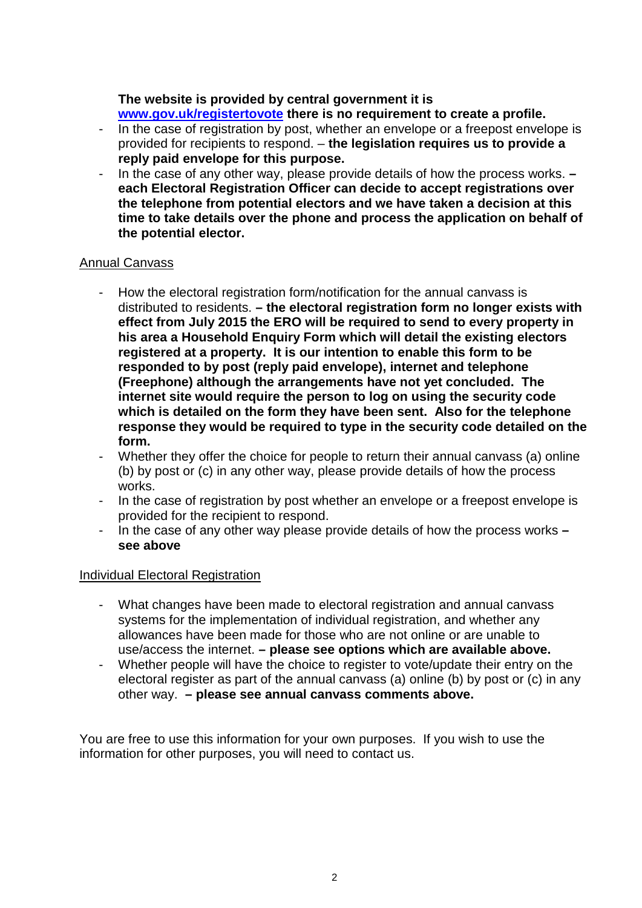# **The website is provided by central government it is**

**[www.gov.uk/registertovote](http://www.gov.uk/registertovote) there is no requirement to create a profile.**

- In the case of registration by post, whether an envelope or a freepost envelope is provided for recipients to respond. – **the legislation requires us to provide a reply paid envelope for this purpose.**
- In the case of any other way, please provide details of how the process works. **– each Electoral Registration Officer can decide to accept registrations over the telephone from potential electors and we have taken a decision at this time to take details over the phone and process the application on behalf of the potential elector.**

# Annual Canvass

- How the electoral registration form/notification for the annual canvass is distributed to residents. **– the electoral registration form no longer exists with effect from July 2015 the ERO will be required to send to every property in his area a Household Enquiry Form which will detail the existing electors registered at a property. It is our intention to enable this form to be responded to by post (reply paid envelope), internet and telephone (Freephone) although the arrangements have not yet concluded. The internet site would require the person to log on using the security code which is detailed on the form they have been sent. Also for the telephone response they would be required to type in the security code detailed on the form.**
- Whether they offer the choice for people to return their annual canvass (a) online (b) by post or (c) in any other way, please provide details of how the process works.
- In the case of registration by post whether an envelope or a freepost envelope is provided for the recipient to respond.
- In the case of any other way please provide details of how the process works **– see above**

# Individual Electoral Registration

- What changes have been made to electoral registration and annual canvass systems for the implementation of individual registration, and whether any allowances have been made for those who are not online or are unable to use/access the internet. **– please see options which are available above.**
- Whether people will have the choice to register to vote/update their entry on the electoral register as part of the annual canvass (a) online (b) by post or (c) in any other way. **– please see annual canvass comments above.**

You are free to use this information for your own purposes. If you wish to use the information for other purposes, you will need to contact us.